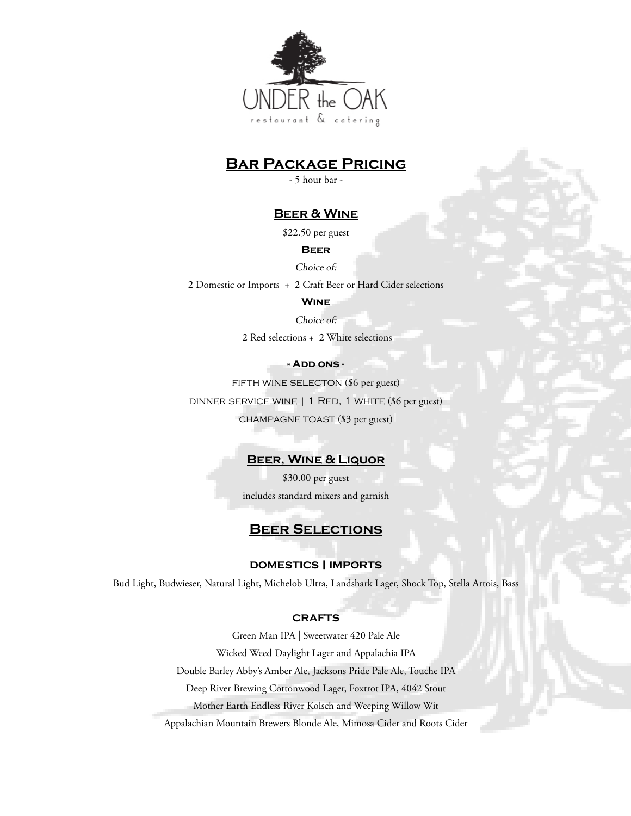

# **Bar Package Pricing**

- 5 hour bar -

## **Beer & Wine**

\$22.50 per guest

#### **Beer**

Choice of:

2 Domestic or Imports + 2 Craft Beer or Hard Cider selections

## **Wine**

#### Choice of:

2 Red selections + 2 White selections

## **- Add ons -**

FIFTH WINE SELECTON (\$6 per guest) dinner service wine | 1 Red, 1 white (\$6 per guest) champagne toast (\$3 per guest)

## **Beer, Wine & Liquor**

\$30.00 per guest includes standard mixers and garnish

## **Beer Selections**

### **DOMESTICS | IMPORTS**

Bud Light, Budwieser, Natural Light, Michelob Ultra, Landshark Lager, Shock Top, Stella Artois, Bass

#### **CRAFTS**

Green Man IPA | Sweetwater 420 Pale Ale Wicked Weed Daylight Lager and Appalachia IPA Double Barley Abby's Amber Ale, Jacksons Pride Pale Ale, Touche IPA Deep River Brewing Cottonwood Lager, Foxtrot IPA, 4042 Stout Mother Earth Endless River Kolsch and Weeping Willow Wit

Appalachian Mountain Brewers Blonde Ale, Mimosa Cider and Roots Cider